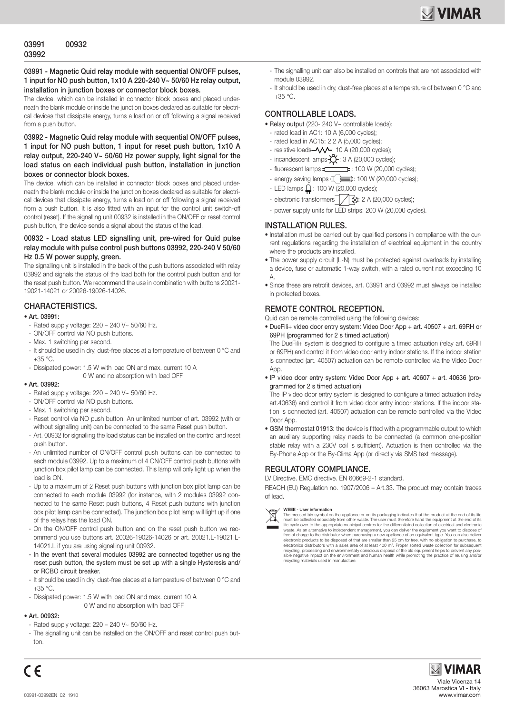## 03991 - Magnetic Quid relay module with sequential ON/OFF pulses. 1 input for NO push button, 1x10 A 220-240 V~ 50/60 Hz relay output, installation in junction boxes or connector block boxes.

The device, which can be installed in connector block boxes and placed underneath the blank module or inside the junction boxes declared as suitable for electrical devices that dissipate energy, turns a load on or off following a signal received from a push button.

### 03992 - Magnetic Quid relay module with sequential ON/OFF pulses, 1 input for NO push button, 1 input for reset push button, 1x10 A relay output, 220-240 V~ 50/60 Hz power supply, light signal for the load status on each individual push button, installation in junction boxes or connector block boxes.

The device, which can be installed in connector block boxes and placed underneath the blank module or inside the junction boxes declared as suitable for electrical devices that dissipate energy, turns a load on or off following a signal received from a push button. It is also fitted with an input for the control unit switch-off control (reset). If the signalling unit 00932 is installed in the ON/OFF or reset control push button, the device sends a signal about the status of the load.

### 00932 - Load status LED signalling unit, pre-wired for Quid pulse relay module with pulse control push buttons 03992, 220-240 V 50/60 Hz 0.5 W power supply, green.

The signalling unit is installed in the back of the push buttons associated with relay 03992 and signals the status of the load both for the control push button and for the reset push button. We recommend the use in combination with buttons 20021- 19021-14021 or 20026-19026-14026.

# CHARACTERISTICS.

#### • Art. 03991:

- Rated supply voltage: 220 240 V~ 50/60 Hz.
- ON/OFF control via NO push buttons.
- Max. 1 switching per second.
- It should be used in dry, dust-free places at a temperature of between 0 °C and +35 °C.
- Dissipated power: 1.5 W with load ON and max. current 10 A 0 W and no absorption with load OFF

#### • Art. 03992:

- Rated supply voltage:  $220 240$  V $\sim$  50/60 Hz.
- ON/OFF control via NO push buttons.
- Max. 1 switching per second.
- Reset control via NO push button. An unlimited number of art. 03992 (with or without signalling unit) can be connected to the same Reset push button.
- Art. 00932 for signalling the load status can be installed on the control and reset push button.
- An unlimited number of ON/OFF control push buttons can be connected to each module 03992. Up to a maximum of 4 ON/OFF control push buttons with junction box pilot lamp can be connected. This lamp will only light up when the load is ON.
- Up to a maximum of 2 Reset push buttons with junction box pilot lamp can be connected to each module 03992 (for instance, with 2 modules 03992 connected to the same Reset push buttons, 4 Reset push buttons with junction box pilot lamp can be connected). The junction box pilot lamp will light up if one of the relays has the load ON.
- On the ON/OFF control push button and on the reset push button we recommend you use buttons art. 20026-19026-14026 or art. 20021.L-19021.L-14021.L if you are using signalling unit 00932.
- In the event that several modules 03992 are connected together using the reset push button, the system must be set up with a single Hysteresis and/ or RCBO circuit breaker.
- It should be used in dry, dust-free places at a temperature of between 0 °C and +35 °C.
- Dissipated power: 1.5 W with load ON and max. current 10 A 0 W and no absorption with load OFF

# • Art. 00932:

(  $\epsilon$ 

- Rated supply voltage:  $220 240$  V $\sim 50/60$  Hz.
- The signalling unit can be installed on the ON/OFF and reset control push button.
- The signalling unit can also be installed on controls that are not associated with module 03992.
- It should be used in dry, dust-free places at a temperature of between 0 °C and  $+35 °C$

# CONTROLLABLE LOADS.

- Relay output (220- 240 V~ controllable loads):
- rated load in AC1: 10 A (6,000 cycles);
- rated load in AC15: 2.2 A (5,000 cycles);
- resistive loads- $\sqrt{\sqrt{-}}$ : 10 A (20,000 cycles);
- incandescent lamps  $\overrightarrow{Q}$  : 3 A (20,000 cycles);
- $-$  fluorescent lamps  $+$   $+$  100 W (20,000 cycles);
- energy saving lamps  $\text{Im} \quad \text{Im} \quad \text{Im} \quad \text{Im} \quad \text{Im} \quad \text{Im} \quad \text{Im} \quad \text{Im} \quad \text{Im} \quad \text{Im} \quad \text{Im} \quad \text{Im} \quad \text{Im} \quad \text{Im} \quad \text{Im} \quad \text{Im} \quad \text{Im} \quad \text{Im} \quad \text{Im} \quad \text{Im} \quad \text{Im} \quad \text{Im} \quad \text{Im} \quad \text{Im} \quad \text{Im} \quad \text{Im} \quad \text{Im} \quad \text{Im} \quad \text$
- $-$  LED lamps  $\frac{0}{11}$ : 100 W (20,000 cycles);
- electronic transformers  $\sqrt{\otimes}$ : 2 A (20,000 cycles);
- power supply units for LED strips: 200 W (20,000 cycles).

#### INSTALLATION RULES.

- Installation must be carried out by qualified persons in compliance with the current regulations regarding the installation of electrical equipment in the country where the products are installed.
- The power supply circuit (L-N) must be protected against overloads by installing a device, fuse or automatic 1-way switch, with a rated current not exceeding 10  $\Delta$
- Since these are retrofit devices, art. 03991 and 03992 must always be installed in protected boxes.

## REMOTE CONTROL RECEPTION.

Quid can be remote controlled using the following devices:

• DueFili+ video door entry system: Video Door App + art. 40507 + art. 69RH or 69PH (programmed for 2 s timed actuation)

The DueFili+ system is designed to configure a timed actuation (relay art. 69RH or 69PH) and control it from video door entry indoor stations. If the indoor station is connected (art. 40507) actuation can be remote controlled via the Video Door App.

• IP video door entry system: Video Door App + art. 40607 + art. 40636 (programmed for 2 s timed actuation)

The IP video door entry system is designed to configure a timed actuation (relay art.40636) and control it from video door entry indoor stations. If the indoor station is connected (art. 40507) actuation can be remote controlled via the Video Door App.

• GSM thermostat 01913: the device is fitted with a programmable output to which an auxiliary supporting relay needs to be connected (a common one-position stable relay with a 230V coil is sufficient). Actuation is then controlled via the By-Phone App or the By-Clima App (or directly via SMS text message).

# REGULATORY COMPLIANCE.

LV Directive. EMC directive. EN 60669-2-1 standard.

REACH (EU) Regulation no. 1907/2006 – Art.33. The product may contain traces of lead.



**WEEE - User information**<br>The crossed bin symbol on the appliance or on its packaging indicates that the product at the end of its life<br>must be collected separately from other waste. The user must therefore hand the equipm waste. As an alternative to independent management, you can deliver the equipment you want to dispose of the distributor when purchasing a new appliance of an equivalent type. You can also deliverelectronic products to be